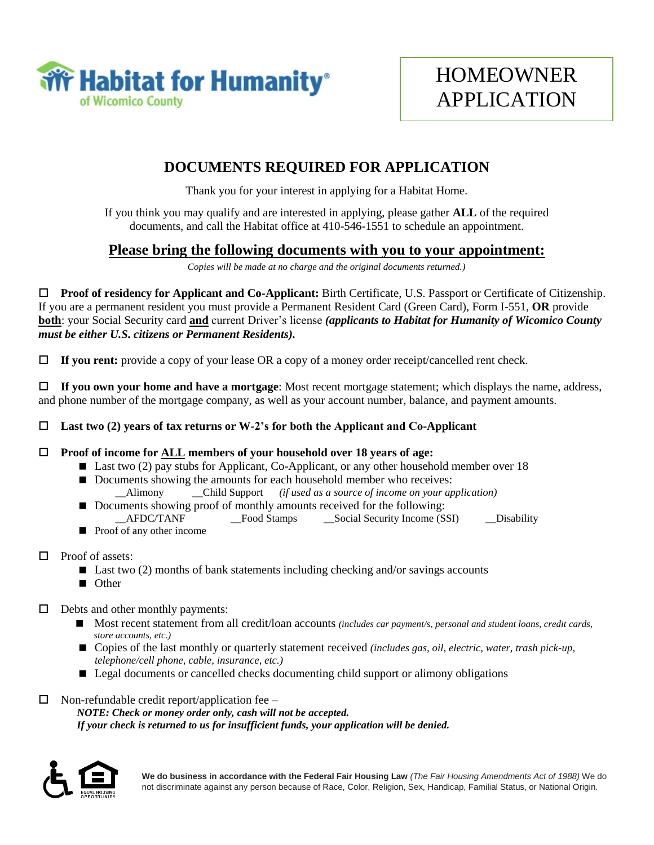

## **DOCUMENTS REQUIRED FOR APPLICATION**

Thank you for your interest in applying for a Habitat Home.

If you think you may qualify and are interested in applying, please gather **ALL** of the required documents, and call the Habitat office at 410-546-1551 to schedule an appointment.

## **Please bring the following documents with you to your appointment:**

*Copies will be made at no charge and the original documents returned.)* 

 **Proof of residency for Applicant and Co-Applicant:** Birth Certificate, U.S. Passport or Certificate of Citizenship. If you are a permanent resident you must provide a Permanent Resident Card (Green Card), Form I-551, **OR** provide **both**: your Social Security card **and** current Driver's license *(applicants to Habitat for Humanity of Wicomico County must be either U.S. citizens or Permanent Residents).*

**If you rent:** provide a copy of your lease OR a copy of a money order receipt/cancelled rent check.

 **If you own your home and have a mortgage**: Most recent mortgage statement; which displays the name, address, and phone number of the mortgage company, as well as your account number, balance, and payment amounts.

**Last two (2) years of tax returns or W-2's for both the Applicant and Co-Applicant**

#### **Proof of income for ALL members of your household over 18 years of age:**

- Last two (2) pay stubs for Applicant, Co-Applicant, or any other household member over 18
- Documents showing the amounts for each household member who receives: \_\_Alimony \_\_Child Support *(if used as a source of income on your application)*
- Documents showing proof of monthly amounts received for the following: AFDC/TANF Tood Stamps Social Security Income (SSI) Disability
- **Proof of any other income**
- $\Box$  Proof of assets:
	- $\blacksquare$  Last two (2) months of bank statements including checking and/or savings accounts
	- Other
- $\Box$  Debts and other monthly payments:
	- Most recent statement from all credit/loan accounts *(includes car payment/s, personal and student loans, credit cards, store accounts, etc.)*
	- Copies of the last monthly or quarterly statement received *(includes gas, oil, electric, water, trash pick-up, telephone/cell phone, cable, insurance, etc.)*
	- Legal documents or cancelled checks documenting child support or alimony obligations
- $\Box$  Non-refundable credit report/application fee *NOTE: Check or money order only, cash will not be accepted. If your check is returned to us for insufficient funds, your application will be denied.*

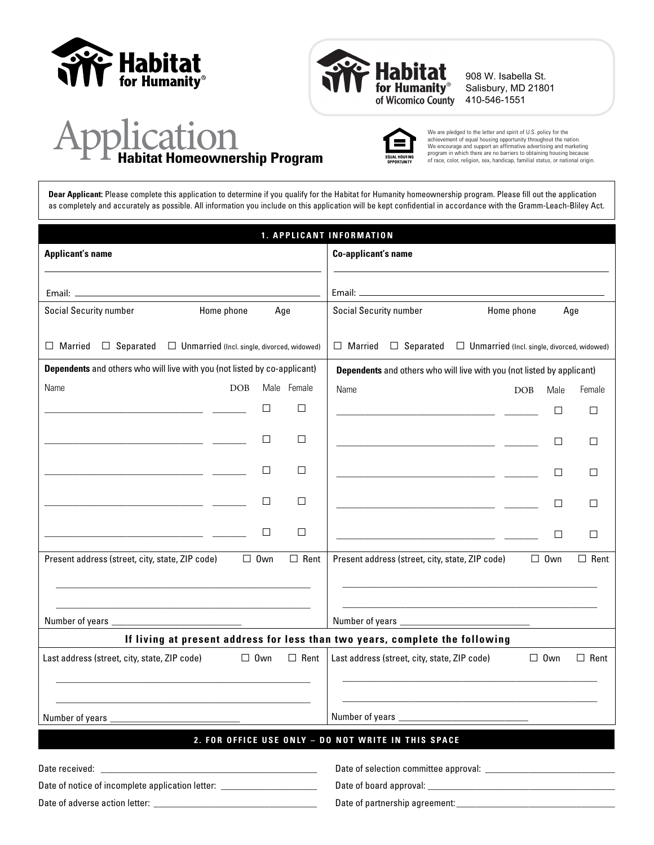



908 W. Isabella St. Salisbury, MD 21801 410-546-1551

# **Application 1986**<br>Habitat Homeownership Program of Race, color, religion of the Habitat Homeownership Program



We are pledged to the letter and spirit of U.S. policy for the achievement of equal housing opportunity throughout the nation. We encourage and support an affirmative advertising and marketing

**Dear Applicant:** Please complete this application to determine if you qualify for the Habitat for Humanity homeownership program. Please fill out the application as completely and accurately as possible. All information you include on this application will be kept confidential in accordance with the Gramm-Leach-Bliley Act.

|                                                                                                                                                                                                                                      |                                                    |            |             | 1. APPLICANT INFORMATION                                                                                                                                                                                                             |                                                                                           |            |             |
|--------------------------------------------------------------------------------------------------------------------------------------------------------------------------------------------------------------------------------------|----------------------------------------------------|------------|-------------|--------------------------------------------------------------------------------------------------------------------------------------------------------------------------------------------------------------------------------------|-------------------------------------------------------------------------------------------|------------|-------------|
| <b>Applicant's name</b>                                                                                                                                                                                                              |                                                    |            |             | Co-applicant's name                                                                                                                                                                                                                  |                                                                                           |            |             |
|                                                                                                                                                                                                                                      |                                                    |            |             |                                                                                                                                                                                                                                      |                                                                                           |            |             |
|                                                                                                                                                                                                                                      |                                                    |            |             |                                                                                                                                                                                                                                      |                                                                                           |            |             |
| <b>Social Security number</b>                                                                                                                                                                                                        | Home phone                                         | Age        |             | <b>Social Security number</b>                                                                                                                                                                                                        | Home phone                                                                                |            | Age         |
| $\Box$ Separated<br>$\Box$ Married                                                                                                                                                                                                   | $\Box$ Unmarried (Incl. single, divorced, widowed) |            |             | $\Box$ Married<br>$\Box$ Separated                                                                                                                                                                                                   | $\Box$ Unmarried (Incl. single, divorced, widowed)                                        |            |             |
| Dependents and others who will live with you (not listed by co-applicant)                                                                                                                                                            |                                                    |            |             | <b>Dependents</b> and others who will live with you (not listed by applicant)                                                                                                                                                        |                                                                                           |            |             |
| Name                                                                                                                                                                                                                                 | DOB                                                |            | Male Female | Name                                                                                                                                                                                                                                 | DOB                                                                                       | Male       | Female      |
|                                                                                                                                                                                                                                      |                                                    | □          | □           | <u> 1989 - Johann Harry Harry Harry Harry Harry Harry Harry Harry Harry Harry Harry Harry Harry Harry Harry Harry Harry Harry Harry Harry Harry Harry Harry Harry Harry Harry Harry Harry Harry Harry Harry Harry Harry Harry Ha</u> |                                                                                           | П          | $\Box$      |
| <u> 1989 - Johann Harry Harry Harry Harry Harry Harry Harry Harry Harry Harry Harry Harry Harry Harry Harry Harry Harry Harry Harry Harry Harry Harry Harry Harry Harry Harry Harry Harry Harry Harry Harry Harry Harry Harry Ha</u> |                                                    | $\Box$     | □           | <u> 1980 - Jan Barbara Barbara, manazarta da kasas da shekara 1980 - 1981 - 1982 - 1983 - 1984 - 1986 - 1986 - 19</u>                                                                                                                |                                                                                           | П          | $\Box$      |
| <u> 1989 - Johann Harry Harry Harry Harry Harry Harry Harry Harry Harry Harry Harry Harry Harry Harry Harry Harry Harry Harry Harry Harry Harry Harry Harry Harry Harry Harry Harry Harry Harry Harry Harry Harry Harry Harry Ha</u> |                                                    | □          | □           | <u> 1989 - Johann Harry Harry Harry Harry Harry Harry Harry Harry Harry Harry Harry Harry Harry Harry Harry Harry Harry Harry Harry Harry Harry Harry Harry Harry Harry Harry Harry Harry Harry Harry Harry Harry Harry Harry Ha</u> |                                                                                           | □          | □           |
| <u> 1989 - Johann Harry Hermann, fransk politik (</u>                                                                                                                                                                                |                                                    | $\Box$     | □           | <u> 1989 - Johann Stein, mars an deus Amerikaansk kommunister (</u>                                                                                                                                                                  |                                                                                           | □          | □           |
| <u> 1989 - Johann Stein, markin fan it ferstjer fan it ferstjer fan it ferstjer fan it ferstjer fan it ferstjer</u>                                                                                                                  |                                                    | □          | □           |                                                                                                                                                                                                                                      |                                                                                           | П          | □           |
| Present address (street, city, state, ZIP code)                                                                                                                                                                                      |                                                    | $\Box$ Own | $\Box$ Rent | Present address (street, city, state, ZIP code)                                                                                                                                                                                      |                                                                                           | $\Box$ 0wn | $\Box$ Rent |
|                                                                                                                                                                                                                                      |                                                    |            |             |                                                                                                                                                                                                                                      | the control of the control of the control of the control of the control of the control of |            |             |
|                                                                                                                                                                                                                                      |                                                    |            |             | If living at present address for less than two years, complete the following                                                                                                                                                         |                                                                                           |            |             |
| Last address (street, city, state, ZIP code)                                                                                                                                                                                         |                                                    | $\Box$ Own | $\Box$ Rent | Last address (street, city, state, ZIP code)                                                                                                                                                                                         |                                                                                           | $\Box$ Own | $\Box$ Rent |
|                                                                                                                                                                                                                                      |                                                    |            |             | Number of years ________________________________                                                                                                                                                                                     |                                                                                           |            |             |
|                                                                                                                                                                                                                                      |                                                    |            |             | 2. FOR OFFICE USE ONLY - DO NOT WRITE IN THIS SPACE                                                                                                                                                                                  |                                                                                           |            |             |
|                                                                                                                                                                                                                                      |                                                    |            |             |                                                                                                                                                                                                                                      |                                                                                           |            |             |
| Date of notice of incomplete application letter: _______________________________                                                                                                                                                     |                                                    |            |             |                                                                                                                                                                                                                                      |                                                                                           |            |             |
|                                                                                                                                                                                                                                      |                                                    |            |             |                                                                                                                                                                                                                                      |                                                                                           |            |             |
|                                                                                                                                                                                                                                      |                                                    |            |             |                                                                                                                                                                                                                                      |                                                                                           |            |             |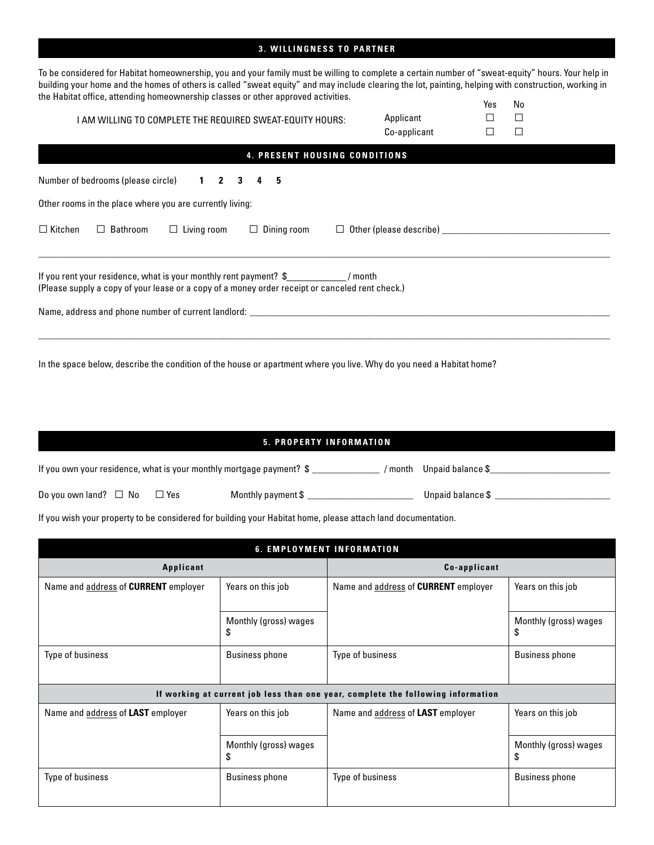#### **3. WILLINGNESS TO PARTNER**

To be considered for Habitat homeownership, you and your family must be willing to complete a certain number of "sweat-equity" hours. Your help in building your home and the homes of others is called "sweat equity" and may include clearing the lot, painting, helping with construction, working in the Habitat office, attending homeownership classes or other approved activities. Yes No

| AM WILLING TO COMPLETE THE REQUIRED SWEAT-EQUITY HOURS:                                                                                                                        | Applicant<br>Co-applicant      |  | ⊏ |  |  |
|--------------------------------------------------------------------------------------------------------------------------------------------------------------------------------|--------------------------------|--|---|--|--|
| <b>4. PRESENT HOUSING CONDITIONS</b>                                                                                                                                           |                                |  |   |  |  |
| Number of bedrooms (please circle) 1 2 3 4<br>-5                                                                                                                               |                                |  |   |  |  |
| Other rooms in the place where you are currently living:                                                                                                                       |                                |  |   |  |  |
| $\Box$ Kitchen<br>$\Box$ Bathroom<br>Living room<br>$\Box$ Dining room<br>$\Box$                                                                                               | $\Box$ Other (please describe) |  |   |  |  |
| If you rent your residence, what is your monthly rent payment? \$ / / month<br>(Please supply a copy of your lease or a copy of a money order receipt or canceled rent check.) |                                |  |   |  |  |
| Name, address and phone number of current landlord: ____________________________                                                                                               |                                |  |   |  |  |
|                                                                                                                                                                                |                                |  |   |  |  |

In the space below, describe the condition of the house or apartment where you live. Why do you need a Habitat home?

#### **5. PROPERTY INFORMATION**

| If you own your residence, what is your monthly mortgage payment? $\$ |  |       |                    |  | / month Unpaid balance \$ |
|-----------------------------------------------------------------------|--|-------|--------------------|--|---------------------------|
|                                                                       |  |       |                    |  |                           |
| Do you own land? $\Box$ No                                            |  | ∃ Yes | Monthly payment \$ |  | Unpaid balance \$         |

If you wish your property to be considered for building your Habitat home, please attach land documentation.

| <b>6. EMPLOYMENT INFORMATION</b>            |                             |                                                                                  |                             |  |
|---------------------------------------------|-----------------------------|----------------------------------------------------------------------------------|-----------------------------|--|
| <b>Applicant</b>                            |                             | Co-applicant                                                                     |                             |  |
| Name and address of <b>CURRENT</b> employer | Years on this job           | Name and address of <b>CURRENT</b> employer                                      | Years on this job           |  |
|                                             | Monthly (gross) wages<br>\$ |                                                                                  | Monthly (gross) wages<br>\$ |  |
| Type of business                            | <b>Business phone</b>       | Type of business                                                                 | <b>Business phone</b>       |  |
|                                             |                             | If working at current job less than one year, complete the following information |                             |  |
| Name and address of LAST employer           | Years on this job           | Name and address of LAST employer                                                | Years on this job           |  |
|                                             | Monthly (gross) wages<br>\$ |                                                                                  | Monthly (gross) wages<br>\$ |  |
| Type of business                            | <b>Business phone</b>       | Type of business                                                                 | <b>Business phone</b>       |  |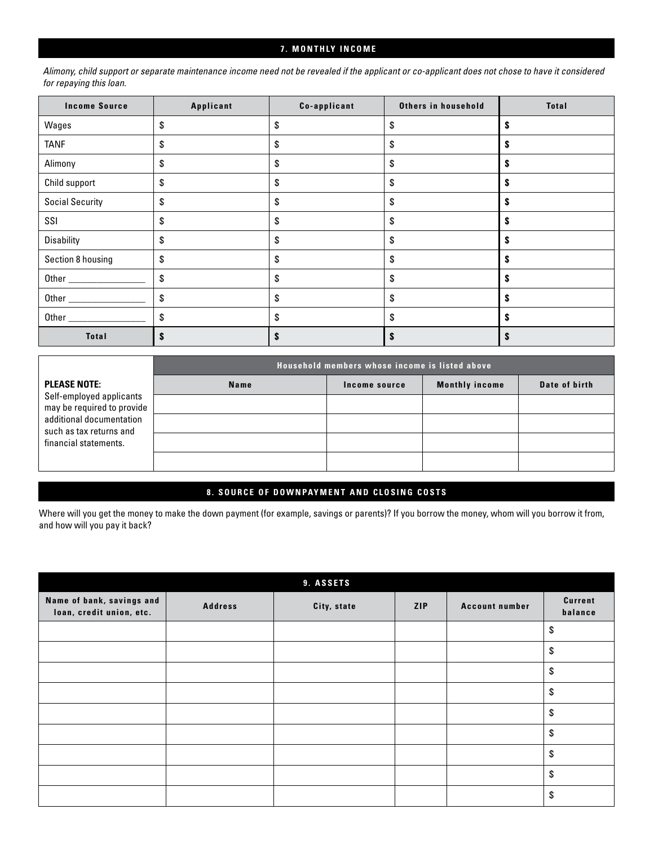#### **7. MONTHLY INCOME**

*Alimony, child support or separate maintenance income need not be revealed if the applicant or co-applicant does not chose to have it considered for repaying this loan.*

| <b>Income Source</b>   | Applicant | Co-applicant | Others in household | <b>Total</b> |
|------------------------|-----------|--------------|---------------------|--------------|
| Wages                  | \$        | \$           | \$                  |              |
| <b>TANF</b>            | \$        | \$           | \$                  |              |
| Alimony                | \$        | \$           | \$                  |              |
| Child support          | \$        | \$           | \$                  |              |
| <b>Social Security</b> | \$        | \$           | \$                  | S            |
| SSI                    | \$        | \$           | \$                  | s            |
| <b>Disability</b>      | \$        | \$           | \$                  | S            |
| Section 8 housing      | \$        | \$           | \$                  |              |
|                        | \$        | \$           | \$                  |              |
|                        | \$        | \$           | \$                  |              |
|                        | \$        | \$           | \$                  |              |
| <b>Total</b>           |           |              | \$                  |              |

|                                                        | Household members whose income is listed above |               |                       |               |  |  |
|--------------------------------------------------------|------------------------------------------------|---------------|-----------------------|---------------|--|--|
| <b>PLEASE NOTE:</b>                                    | Name                                           | Income source | <b>Monthly income</b> | Date of birth |  |  |
| Self-employed applicants<br>may be required to provide |                                                |               |                       |               |  |  |
| additional documentation<br>such as tax returns and    |                                                |               |                       |               |  |  |
| financial statements.                                  |                                                |               |                       |               |  |  |
|                                                        |                                                |               |                       |               |  |  |

#### **8. SOURCE OF DOWNPAYMENT AND CLOSING COSTS**

Where will you get the money to make the down payment (for example, savings or parents)? If you borrow the money, whom will you borrow it from, and how will you pay it back?

| 9. ASSETS                                             |                |             |     |                       |                           |
|-------------------------------------------------------|----------------|-------------|-----|-----------------------|---------------------------|
| Name of bank, savings and<br>loan, credit union, etc. | <b>Address</b> | City, state | ZIP | <b>Account number</b> | <b>Current</b><br>balance |
|                                                       |                |             |     |                       | \$                        |
|                                                       |                |             |     |                       | \$                        |
|                                                       |                |             |     |                       | \$                        |
|                                                       |                |             |     |                       | \$                        |
|                                                       |                |             |     |                       | \$                        |
|                                                       |                |             |     |                       | \$                        |
|                                                       |                |             |     |                       | \$                        |
|                                                       |                |             |     |                       | \$                        |
|                                                       |                |             |     |                       | \$                        |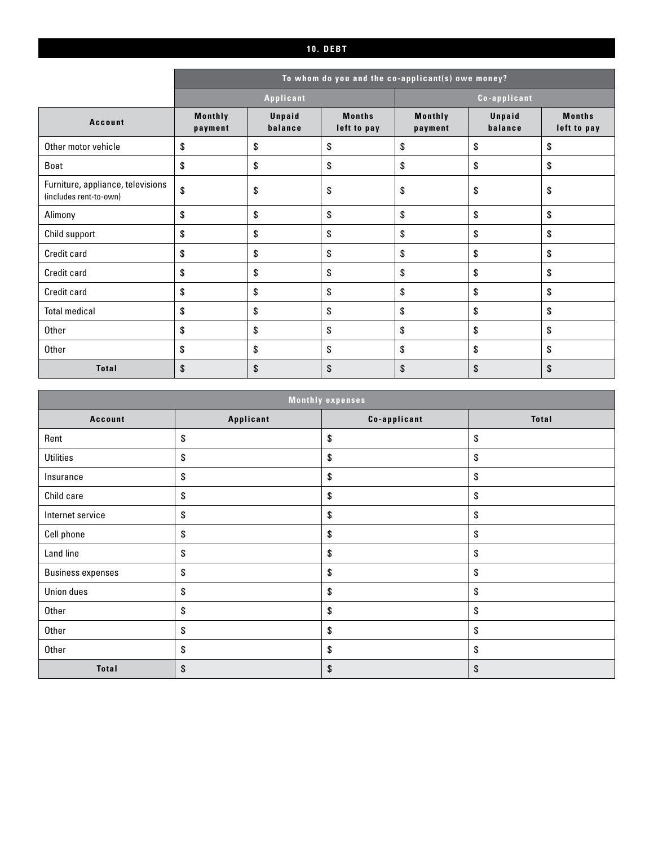#### **10. DEBT**

|                                                             |                    | To whom do you and the co-applicant(s) owe money? |                              |                    |                   |                              |
|-------------------------------------------------------------|--------------------|---------------------------------------------------|------------------------------|--------------------|-------------------|------------------------------|
|                                                             | Applicant          |                                                   |                              | Co-applicant       |                   |                              |
| <b>Account</b>                                              | Monthly<br>payment | Unpaid<br>balance                                 | <b>Months</b><br>left to pay | Monthly<br>payment | Unpaid<br>balance | <b>Months</b><br>left to pay |
| Other motor vehicle                                         | \$                 | \$                                                | \$                           | \$                 | \$                | \$                           |
| Boat                                                        | \$                 | \$                                                | \$                           | \$                 | \$                | \$                           |
| Furniture, appliance, televisions<br>(includes rent-to-own) | \$                 | \$                                                | \$                           | \$                 | \$                | \$                           |
| Alimony                                                     | \$                 | \$                                                | \$                           | \$                 | \$                | \$                           |
| Child support                                               | \$                 | \$                                                | \$                           | \$                 | \$                | \$                           |
| Credit card                                                 | \$                 | \$                                                | \$                           | \$                 | \$                | \$                           |
| Credit card                                                 | \$                 | \$                                                | \$                           | \$                 | \$                | \$                           |
| Credit card                                                 | \$                 | \$                                                | \$                           | \$                 | \$                | \$                           |
| <b>Total medical</b>                                        | \$                 | \$                                                | \$                           | \$                 | \$                | \$                           |
| Other                                                       | \$                 | \$                                                | \$                           | \$                 | \$                | \$                           |
| Other                                                       | \$                 | \$                                                | \$                           | \$                 | \$                | \$                           |
| <b>Total</b>                                                | \$                 | \$                                                | \$                           | \$                 | \$                | \$                           |

| <b>Monthly expenses</b>  |           |              |              |  |
|--------------------------|-----------|--------------|--------------|--|
| <b>Account</b>           | Applicant | Co-applicant | <b>Total</b> |  |
| Rent                     | \$        | \$           | \$           |  |
| <b>Utilities</b>         | \$        | \$           | \$           |  |
| Insurance                | \$        | \$           | $\$$         |  |
| Child care               | \$        | \$           | \$           |  |
| Internet service         | \$        | \$           | \$           |  |
| Cell phone               | \$        | \$           | \$           |  |
| Land line                | \$        | \$           | \$           |  |
| <b>Business expenses</b> | \$        | \$           | \$           |  |
| Union dues               | \$        | \$           | \$           |  |
| Other                    | \$        | \$           | \$           |  |
| Other                    | \$        | \$           | \$           |  |
| Other                    | \$        | \$           | \$           |  |
| <b>Total</b>             | \$        | \$           | \$           |  |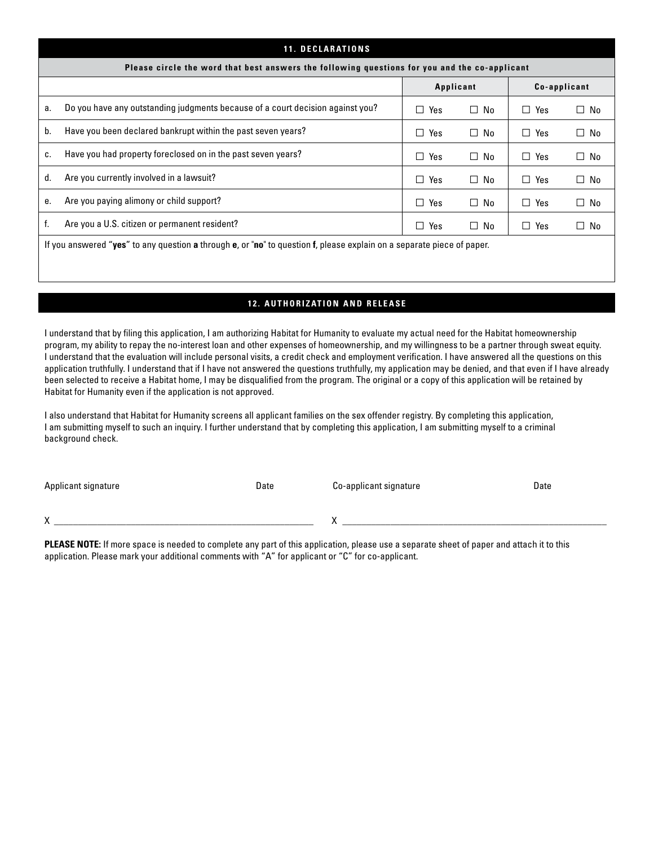|    | <b>11. DECLARATIONS</b>                                                                                                |               |           |               |           |  |
|----|------------------------------------------------------------------------------------------------------------------------|---------------|-----------|---------------|-----------|--|
|    | Please circle the word that best answers the following questions for you and the co-applicant                          |               |           |               |           |  |
|    | Applicant<br>Co-applicant                                                                                              |               |           |               |           |  |
| а. | Do you have any outstanding judgments because of a court decision against you?                                         | Yes           | $\Box$ No | Yes<br>$\Box$ | $\Box$ No |  |
| b. | Have you been declared bankrupt within the past seven years?                                                           | Yes<br>$\Box$ | $\Box$ No | П<br>Yes      | $\Box$ No |  |
| c. | Have you had property foreclosed on in the past seven years?                                                           | Yes<br>П      | $\Box$ No | П<br>Yes      | $\Box$ No |  |
| d. | Are you currently involved in a lawsuit?                                                                               | Yes<br>$\Box$ | $\Box$ No | $\Box$ Yes    | $\Box$ No |  |
| е. | Are you paying alimony or child support?                                                                               | Yes<br>П      | $\Box$ No | $\Box$ Yes    | $\Box$ No |  |
| f. | Are you a U.S. citizen or permanent resident?                                                                          | Yes<br>□      | $\Box$ No | $\Box$ Yes    | $\Box$ No |  |
|    | If you answered "yes" to any question a through e, or "no" to question f, please explain on a separate piece of paper. |               |           |               |           |  |

### **12. AUTHORIZATION AND RELEASE**

I understand that by filing this application, I am authorizing Habitat for Humanity to evaluate my actual need for the Habitat homeownership program, my ability to repay the no-interest loan and other expenses of homeownership, and my willingness to be a partner through sweat equity. I understand that the evaluation will include personal visits, a credit check and employment verification. I have answered all the questions on this application truthfully. I understand that if I have not answered the questions truthfully, my application may be denied, and that even if I have already been selected to receive a Habitat home, I may be disqualified from the program. The original or a copy of this application will be retained by Habitat for Humanity even if the application is not approved.

I also understand that Habitat for Humanity screens all applicant families on the sex offender registry. By completing this application, I am submitting myself to such an inquiry. I further understand that by completing this application, I am submitting myself to a criminal background check.

Applicant signature Date Co-applicant signature Date Co-applicant signature Date

X \_\_\_\_\_\_\_\_\_\_\_\_\_\_\_\_\_\_\_\_\_\_\_\_\_\_\_\_\_\_\_\_\_\_\_\_\_\_\_\_\_\_\_\_\_\_\_\_\_\_\_\_\_\_ X \_\_\_\_\_\_\_\_\_\_\_\_\_\_\_\_\_\_\_\_\_\_\_\_\_\_\_\_\_\_\_\_\_\_\_\_\_\_\_\_\_\_\_\_\_\_\_\_\_\_\_\_\_\_\_

**PLEASE NOTE:** If more space is needed to complete any part of this application, please use a separate sheet of paper and attach it to this application. Please mark your additional comments with "A" for applicant or "C" for co-applicant.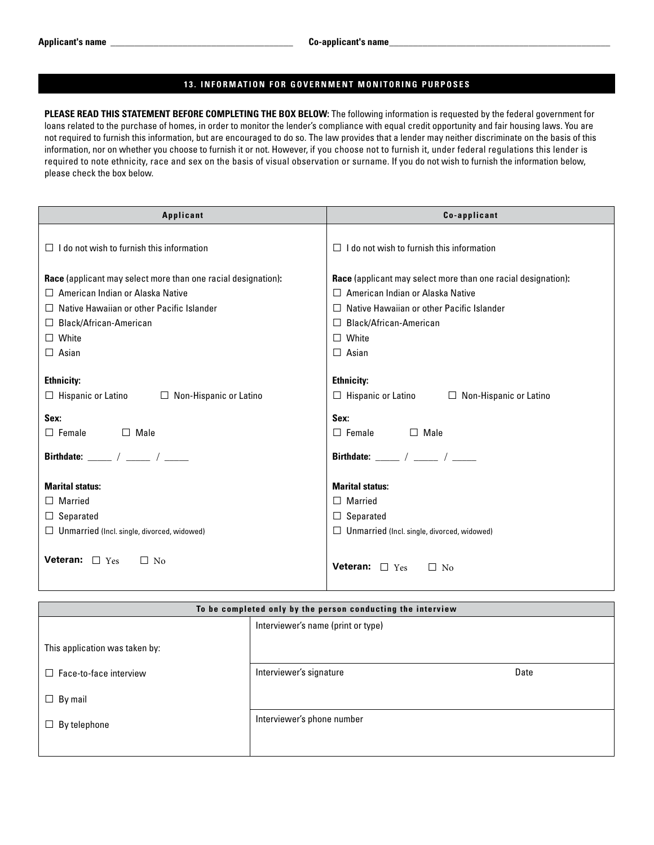#### **13. INFORMATION FOR GOVERNMENT MONITORING PURPOSES**

**PLEASE READ THIS STATEMENT BEFORE COMPLETING THE BOX BELOW:** The following information is requested by the federal government for loans related to the purchase of homes, in order to monitor the lender's compliance with equal credit opportunity and fair housing laws. You are not required to furnish this information, but are encouraged to do so. The law provides that a lender may neither discriminate on the basis of this information, nor on whether you choose to furnish it or not. However, if you choose not to furnish it, under federal regulations this lender is required to note ethnicity, race and sex on the basis of visual observation or surname. If you do not wish to furnish the information below, please check the box below.

| Applicant                                                            | Co-applicant                                                         |
|----------------------------------------------------------------------|----------------------------------------------------------------------|
|                                                                      |                                                                      |
| $\Box$ I do not wish to furnish this information                     | $\Box$ I do not wish to furnish this information                     |
| <b>Race</b> (applicant may select more than one racial designation): | <b>Race</b> (applicant may select more than one racial designation): |
| $\Box$ American Indian or Alaska Native                              | $\Box$ American Indian or Alaska Native                              |
| Native Hawaiian or other Pacific Islander<br>$\Box$                  | Native Hawaiian or other Pacific Islander<br>П                       |
| $\Box$ Black/African-American                                        | Black/African-American<br>П                                          |
| $\Box$ White                                                         | White<br>П                                                           |
| $\Box$ Asian                                                         | $\Box$ Asian                                                         |
|                                                                      |                                                                      |
| <b>Ethnicity:</b>                                                    | <b>Ethnicity:</b>                                                    |
| $\Box$ Hispanic or Latino<br>$\Box$ Non-Hispanic or Latino           | $\Box$ Hispanic or Latino $\Box$ Non-Hispanic or Latino              |
| Sex:                                                                 | Sex:                                                                 |
| $\Box$ Female<br>$\Box$ Male                                         | $\Box$ Female<br>$\Box$ Male                                         |
| Birthdate: $\frac{1}{2}$ / $\frac{1}{2}$ / $\frac{1}{2}$             | Birthdate: _____ / ____ / _____                                      |
| <b>Marital status:</b>                                               | <b>Marital status:</b>                                               |
| $\Box$ Married                                                       | $\Box$ Married                                                       |
| $\Box$ Separated                                                     | $\Box$ Separated                                                     |
| $\Box$ Unmarried (Incl. single, divorced, widowed)                   | $\Box$ Unmarried (Incl. single, divorced, widowed)                   |
|                                                                      |                                                                      |
| <b>Veteran:</b> $\Box$ Yes<br>$\Box$ No                              | Veteran: $\Box$ Yes<br>$\Box$ No                                     |
|                                                                      |                                                                      |

| To be completed only by the person conducting the interview |                                    |      |  |
|-------------------------------------------------------------|------------------------------------|------|--|
|                                                             | Interviewer's name (print or type) |      |  |
| This application was taken by:                              |                                    |      |  |
| $\Box$ Face-to-face interview                               | Interviewer's signature            | Date |  |
| $\Box$ By mail                                              |                                    |      |  |
| By telephone<br>$\Box$                                      | Interviewer's phone number         |      |  |
|                                                             |                                    |      |  |